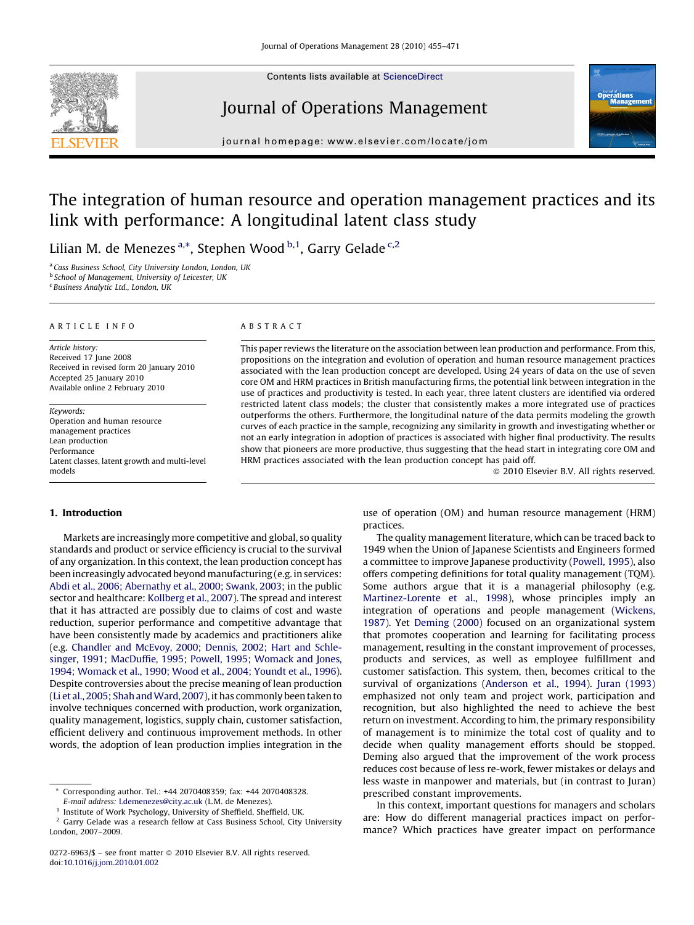

Contents lists available at [ScienceDirect](http://www.sciencedirect.com/science/journal/02726963)

### Journal of Operations Management



journal homepage: www.elsevier.com/locate/jom

## The integration of human resource and operation management practices and its link with performance: A longitudinal latent class study

Lilian M. de Menezes <sup>a,\*</sup>, Stephen Wood <sup>b,1</sup>, Garry Gelade <sup>c,2</sup>

<sup>a</sup> Cass Business School, City University London, London, UK

**b School of Management, University of Leicester, UK** 

<sup>c</sup> Business Analytic Ltd., London, UK

#### ARTICLE INFO

Article history: Received 17 June 2008 Received in revised form 20 January 2010 Accepted 25 January 2010 Available online 2 February 2010

Keywords: Operation and human resource management practices Lean production Performance Latent classes, latent growth and multi-level models

#### 1. Introduction

Markets are increasingly more competitive and global, so quality standards and product or service efficiency is crucial to the survival of any organization. In this context, the lean production concept has been increasingly advocated beyond manufacturing (e.g. in services: [Abdi et al., 2006; Abernathy et al., 2000; Swank, 2003;](#page--1-0) in the public sector and healthcare: [Kollberg et al., 2007](#page--1-0)). The spread and interest that it has attracted are possibly due to claims of cost and waste reduction, superior performance and competitive advantage that have been consistently made by academics and practitioners alike (e.g. [Chandler and McEvoy, 2000; Dennis, 2002; Hart and Schle](#page--1-0)[singer, 1991; MacDuffie, 1995; Powell, 1995; Womack and Jones,](#page--1-0) [1994; Womack et al., 1990; Wood et al., 2004; Youndt et al., 1996\)](#page--1-0). Despite controversies about the precise meaning of lean production (Li et al., 2005; Shah and Ward, 2007), it has commonly been taken to involve techniques concerned with production, work organization, quality management, logistics, supply chain, customer satisfaction, efficient delivery and continuous improvement methods. In other words, the adoption of lean production implies integration in the

#### ABSTRACT

This paper reviews the literature on the association between lean production and performance. From this, propositions on the integration and evolution of operation and human resource management practices associated with the lean production concept are developed. Using 24 years of data on the use of seven core OM and HRM practices in British manufacturing firms, the potential link between integration in the use of practices and productivity is tested. In each year, three latent clusters are identified via ordered restricted latent class models; the cluster that consistently makes a more integrated use of practices outperforms the others. Furthermore, the longitudinal nature of the data permits modeling the growth curves of each practice in the sample, recognizing any similarity in growth and investigating whether or not an early integration in adoption of practices is associated with higher final productivity. The results show that pioneers are more productive, thus suggesting that the head start in integrating core OM and HRM practices associated with the lean production concept has paid off.

 $\odot$  2010 Elsevier B.V. All rights reserved.

use of operation (OM) and human resource management (HRM) practices.

The quality management literature, which can be traced back to 1949 when the Union of Japanese Scientists and Engineers formed a committee to improve Japanese productivity ([Powell, 1995\)](#page--1-0), also offers competing definitions for total quality management (TQM). Some authors argue that it is a managerial philosophy (e.g. [Martinez-Lorente et al., 1998](#page--1-0)), whose principles imply an integration of operations and people management [\(Wickens,](#page--1-0) [1987\)](#page--1-0). Yet [Deming \(2000\)](#page--1-0) focused on an organizational system that promotes cooperation and learning for facilitating process management, resulting in the constant improvement of processes, products and services, as well as employee fulfillment and customer satisfaction. This system, then, becomes critical to the survival of organizations ([Anderson et al., 1994](#page--1-0)). [Juran \(1993\)](#page--1-0) emphasized not only team and project work, participation and recognition, but also highlighted the need to achieve the best return on investment. According to him, the primary responsibility of management is to minimize the total cost of quality and to decide when quality management efforts should be stopped. Deming also argued that the improvement of the work process reduces cost because of less re-work, fewer mistakes or delays and less waste in manpower and materials, but (in contrast to Juran) prescribed constant improvements.

In this context, important questions for managers and scholars are: How do different managerial practices impact on performance? Which practices have greater impact on performance

Corresponding author. Tel.: +44 2070408359; fax: +44 2070408328. E-mail address: [l.demenezes@city.ac.uk](mailto:l.demenezes@city.ac.uk) (L.M. de Menezes).

<sup>1</sup> Institute of Work Psychology, University of Sheffield, Sheffield, UK.

<sup>2</sup> Garry Gelade was a research fellow at Cass Business School, City University London, 2007–2009.

<sup>0272-6963/\$ –</sup> see front matter © 2010 Elsevier B.V. All rights reserved. doi:[10.1016/j.jom.2010.01.002](http://dx.doi.org/10.1016/j.jom.2010.01.002)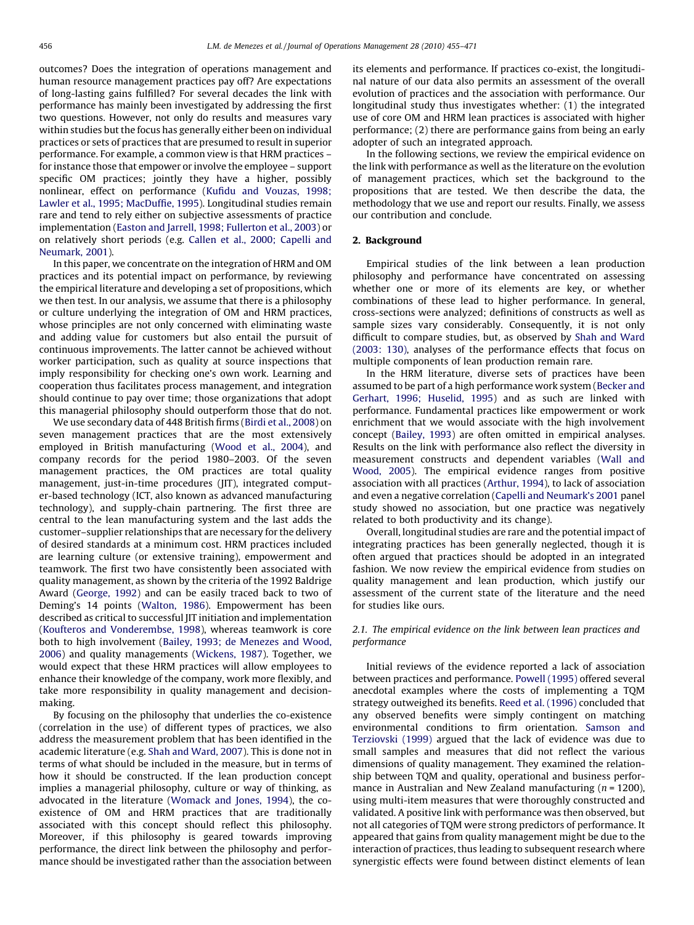outcomes? Does the integration of operations management and human resource management practices pay off? Are expectations of long-lasting gains fulfilled? For several decades the link with performance has mainly been investigated by addressing the first two questions. However, not only do results and measures vary within studies but the focus has generally either been on individual practices or sets of practices that are presumed to result in superior performance. For example, a common view is that HRM practices – for instance those that empower or involve the employee – support specific OM practices; jointly they have a higher, possibly nonlinear, effect on performance ([Kufidu and Vouzas, 1998;](#page--1-0) [Lawler et al., 1995; MacDuffie, 1995\)](#page--1-0). Longitudinal studies remain rare and tend to rely either on subjective assessments of practice implementation [\(Easton and Jarrell, 1998; Fullerton et al., 2003\)](#page--1-0) or on relatively short periods (e.g. [Callen et al., 2000; Capelli and](#page--1-0) [Neumark, 2001\)](#page--1-0).

In this paper, we concentrate on the integration of HRM and OM practices and its potential impact on performance, by reviewing the empirical literature and developing a set of propositions, which we then test. In our analysis, we assume that there is a philosophy or culture underlying the integration of OM and HRM practices, whose principles are not only concerned with eliminating waste and adding value for customers but also entail the pursuit of continuous improvements. The latter cannot be achieved without worker participation, such as quality at source inspections that imply responsibility for checking one's own work. Learning and cooperation thus facilitates process management, and integration should continue to pay over time; those organizations that adopt this managerial philosophy should outperform those that do not.

We use secondary data of 448 British firms [\(Birdi et al., 2008](#page--1-0)) on seven management practices that are the most extensively employed in British manufacturing ([Wood et al., 2004](#page--1-0)), and company records for the period 1980–2003. Of the seven management practices, the OM practices are total quality management, just-in-time procedures (JIT), integrated computer-based technology (ICT, also known as advanced manufacturing technology), and supply-chain partnering. The first three are central to the lean manufacturing system and the last adds the customer–supplier relationships that are necessary for the delivery of desired standards at a minimum cost. HRM practices included are learning culture (or extensive training), empowerment and teamwork. The first two have consistently been associated with quality management, as shown by the criteria of the 1992 Baldrige Award ([George, 1992\)](#page--1-0) and can be easily traced back to two of Deming's 14 points [\(Walton, 1986](#page--1-0)). Empowerment has been described as critical to successful JIT initiation and implementation ([Koufteros and Vonderembse, 1998](#page--1-0)), whereas teamwork is core both to high involvement ([Bailey, 1993; de Menezes and Wood,](#page--1-0) [2006\)](#page--1-0) and quality managements [\(Wickens, 1987\)](#page--1-0). Together, we would expect that these HRM practices will allow employees to enhance their knowledge of the company, work more flexibly, and take more responsibility in quality management and decisionmaking.

By focusing on the philosophy that underlies the co-existence (correlation in the use) of different types of practices, we also address the measurement problem that has been identified in the academic literature (e.g. [Shah and Ward, 2007\)](#page--1-0). This is done not in terms of what should be included in the measure, but in terms of how it should be constructed. If the lean production concept implies a managerial philosophy, culture or way of thinking, as advocated in the literature ([Womack and Jones, 1994\)](#page--1-0), the coexistence of OM and HRM practices that are traditionally associated with this concept should reflect this philosophy. Moreover, if this philosophy is geared towards improving performance, the direct link between the philosophy and performance should be investigated rather than the association between its elements and performance. If practices co-exist, the longitudinal nature of our data also permits an assessment of the overall evolution of practices and the association with performance. Our longitudinal study thus investigates whether: (1) the integrated use of core OM and HRM lean practices is associated with higher performance; (2) there are performance gains from being an early adopter of such an integrated approach.

In the following sections, we review the empirical evidence on the link with performance as well as the literature on the evolution of management practices, which set the background to the propositions that are tested. We then describe the data, the methodology that we use and report our results. Finally, we assess our contribution and conclude.

#### 2. Background

Empirical studies of the link between a lean production philosophy and performance have concentrated on assessing whether one or more of its elements are key, or whether combinations of these lead to higher performance. In general, cross-sections were analyzed; definitions of constructs as well as sample sizes vary considerably. Consequently, it is not only difficult to compare studies, but, as observed by [Shah and Ward](#page--1-0) [\(2003: 130\)](#page--1-0), analyses of the performance effects that focus on multiple components of lean production remain rare.

In the HRM literature, diverse sets of practices have been assumed to be part of a high performance work system [\(Becker and](#page--1-0) [Gerhart, 1996; Huselid, 1995](#page--1-0)) and as such are linked with performance. Fundamental practices like empowerment or work enrichment that we would associate with the high involvement concept ([Bailey, 1993\)](#page--1-0) are often omitted in empirical analyses. Results on the link with performance also reflect the diversity in measurement constructs and dependent variables ([Wall and](#page--1-0) [Wood, 2005\)](#page--1-0). The empirical evidence ranges from positive association with all practices [\(Arthur, 1994\)](#page--1-0), to lack of association and even a negative correlation [\(Capelli and Neumark's 2001](#page--1-0) panel study showed no association, but one practice was negatively related to both productivity and its change).

Overall, longitudinal studies are rare and the potential impact of integrating practices has been generally neglected, though it is often argued that practices should be adopted in an integrated fashion. We now review the empirical evidence from studies on quality management and lean production, which justify our assessment of the current state of the literature and the need for studies like ours.

#### 2.1. The empirical evidence on the link between lean practices and performance

Initial reviews of the evidence reported a lack of association between practices and performance. [Powell \(1995\)](#page--1-0) offered several anecdotal examples where the costs of implementing a TQM strategy outweighed its benefits. [Reed et al. \(1996\)](#page--1-0) concluded that any observed benefits were simply contingent on matching environmental conditions to firm orientation. [Samson and](#page--1-0) [Terziovski \(1999\)](#page--1-0) argued that the lack of evidence was due to small samples and measures that did not reflect the various dimensions of quality management. They examined the relationship between TQM and quality, operational and business performance in Australian and New Zealand manufacturing  $(n = 1200)$ , using multi-item measures that were thoroughly constructed and validated. A positive link with performance was then observed, but not all categories of TQM were strong predictors of performance. It appeared that gains from quality management might be due to the interaction of practices, thus leading to subsequent research where synergistic effects were found between distinct elements of lean